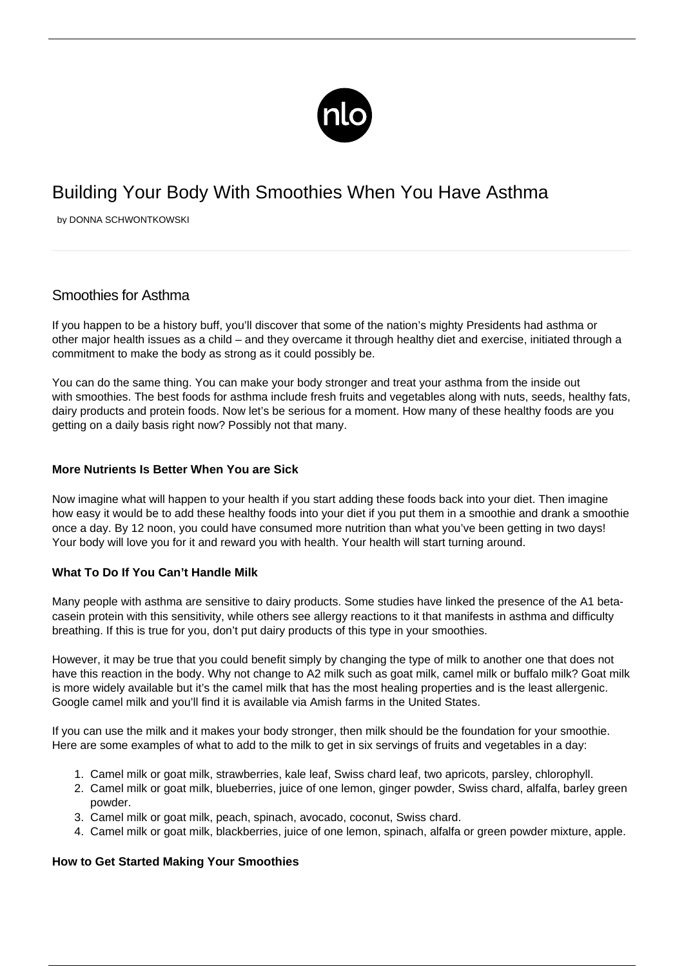

# Building Your Body With Smoothies When You Have Asthma

by DONNA SCHWONTKOWSKI

## Smoothies for Asthma

If you happen to be a history buff, you'll discover that some of the nation's mighty Presidents had asthma or other major health issues as a child – and they overcame it through healthy diet and exercise, initiated through a commitment to make the body as strong as it could possibly be.

You can do the same thing. You can make your body stronger and [treat your asthma](/treatment-without-inhaler/) from the inside out with smoothies. The best foods for asthma include fresh fruits and vegetables along with nuts, seeds, healthy fats, dairy products and protein foods. Now let's be serious for a moment. How many of these healthy foods are you getting on a daily basis right now? Possibly not that many.

#### **More Nutrients Is Better When You are Sick**

Now imagine what will happen to your health if you start adding these foods back into your diet. Then imagine how easy it would be to add these healthy foods into your diet if you put them in a smoothie and drank a smoothie once a day. By 12 noon, you could have consumed more nutrition than what you've been getting in two days! Your body will love you for it and reward you with health. Your health will start turning around.

### **What To Do If You Can't Handle Milk**

Many people with asthma are sensitive to dairy products. Some studies have linked the presence of the A1 betacasein protein with this sensitivity, while others see allergy reactions to it that manifests in asthma and difficulty breathing. If this is true for you, don't put dairy products of this type in your smoothies.

However, it may be true that you could benefit simply by changing the type of milk to another one that does not have this reaction in the body. Why not change to A2 milk such as goat milk, camel milk or buffalo milk? Goat milk is more widely available but it's the camel milk that has the most healing properties and is the least allergenic. Google camel milk and you'll find it is available via Amish farms in the United States.

If you can use the milk and it makes your body stronger, then milk should be the foundation for your smoothie. Here are some examples of what to add to the milk to get in six servings of fruits and vegetables in a day:

- 1. Camel milk or goat milk, strawberries, kale leaf, Swiss chard leaf, two apricots, parsley, chlorophyll.
- 2. Camel milk or goat milk, blueberries, juice of one lemon, ginger powder, Swiss chard, alfalfa, barley green powder.
- 3. Camel milk or goat milk, peach, spinach, avocado, coconut, Swiss chard.
- 4. Camel milk or goat milk, blackberries, juice of one lemon, spinach, alfalfa or green powder mixture, apple.

#### **How to Get Started Making Your Smoothies**